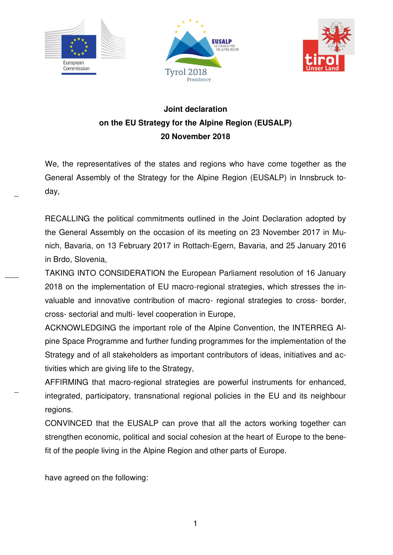





# **Joint declaration on the EU Strategy for the Alpine Region (EUSALP) 20 November 2018**

We, the representatives of the states and regions who have come together as the General Assembly of the Strategy for the Alpine Region (EUSALP) in Innsbruck today,

RECALLING the political commitments outlined in the Joint Declaration adopted by the General Assembly on the occasion of its meeting on 23 November 2017 in Munich, Bavaria, on 13 February 2017 in Rottach-Egern, Bavaria, and 25 January 2016 in Brdo, Slovenia,

TAKING INTO CONSIDERATION the European Parliament resolution of 16 January 2018 on the implementation of EU macro-regional strategies, which stresses the invaluable and innovative contribution of macro- regional strategies to cross- border, cross- sectorial and multi- level cooperation in Europe,

ACKNOWLEDGING the important role of the Alpine Convention, the INTERREG Alpine Space Programme and further funding programmes for the implementation of the Strategy and of all stakeholders as important contributors of ideas, initiatives and activities which are giving life to the Strategy,

AFFIRMING that macro-regional strategies are powerful instruments for enhanced, integrated, participatory, transnational regional policies in the EU and its neighbour regions.

CONVINCED that the EUSALP can prove that all the actors working together can strengthen economic, political and social cohesion at the heart of Europe to the benefit of the people living in the Alpine Region and other parts of Europe.

have agreed on the following:

1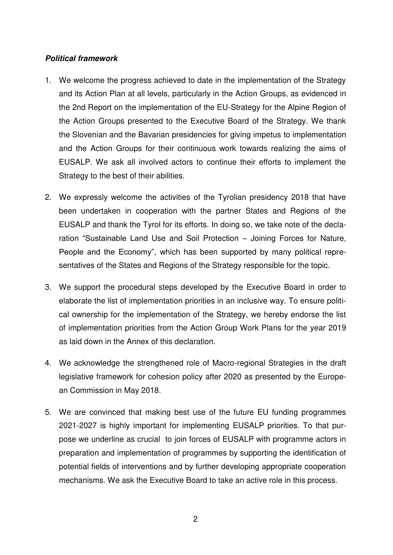#### *Political framework*

- 1. We welcome the progress achieved to date in the implementation of the Strategy and its Action Plan at all levels, particularly in the Action Groups, as evidenced in the 2nd Report on the implementation of the EU-Strategy for the Alpine Region of the Action Groups presented to the Executive Board of the Strategy. We thank the Slovenian and the Bavarian presidencies for giving impetus to implementation and the Action Groups for their continuous work towards realizing the aims of EUSALP. We ask all involved actors to continue their efforts to implement the Strategy to the best of their abilities.
- 2. We expressly welcome the activities of the Tyrolian presidency 2018 that have been undertaken in cooperation with the partner States and Regions of the EUSALP and thank the Tyrol for its efforts. In doing so, we take note of the declaration "Sustainable Land Use and Soil Protection – Joining Forces for Nature, People and the Economy", which has been supported by many political representatives of the States and Regions of the Strategy responsible for the topic.
- 3. We support the procedural steps developed by the Executive Board in order to elaborate the list of implementation priorities in an inclusive way. To ensure political ownership for the implementation of the Strategy, we hereby endorse the list of implementation priorities from the Action Group Work Plans for the year 2019 as laid down in the Annex of this declaration.
- 4. We acknowledge the strengthened role of Macro-regional Strategies in the draft legislative framework for cohesion policy after 2020 as presented by the European Commission in May 2018.
- 5. We are convinced that making best use of the future EU funding programmes 2021-2027 is highly important for implementing EUSALP priorities. To that purpose we underline as crucial to join forces of EUSALP with programme actors in preparation and implementation of programmes by supporting the identification of potential fields of interventions and by further developing appropriate cooperation mechanisms. We ask the Executive Board to take an active role in this process.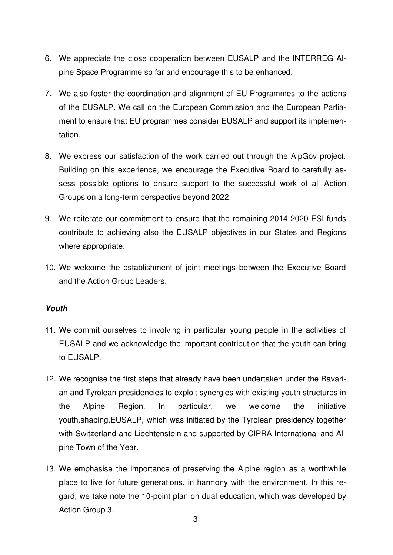- 6. We appreciate the close cooperation between EUSALP and the INTERREG Alpine Space Programme so far and encourage this to be enhanced.
- 7. We also foster the coordination and alignment of EU Programmes to the actions of the EUSALP. We call on the European Commission and the European Parliament to ensure that EU programmes consider EUSALP and support its implementation.
- 8. We express our satisfaction of the work carried out through the AlpGov project. Building on this experience, we encourage the Executive Board to carefully assess possible options to ensure support to the successful work of all Action Groups on a long-term perspective beyond 2022.
- 9. We reiterate our commitment to ensure that the remaining 2014-2020 ESI funds contribute to achieving also the EUSALP objectives in our States and Regions where appropriate.
- 10. We welcome the establishment of joint meetings between the Executive Board and the Action Group Leaders.

#### *Youth*

- 11. We commit ourselves to involving in particular young people in the activities of EUSALP and we acknowledge the important contribution that the youth can bring to EUSALP.
- 12. We recognise the first steps that already have been undertaken under the Bavarian and Tyrolean presidencies to exploit synergies with existing youth structures in the Alpine Region. In particular, we welcome the initiative youth.shaping.EUSALP, which was initiated by the Tyrolean presidency together with Switzerland and Liechtenstein and supported by CIPRA International and Alpine Town of the Year.
- 13. We emphasise the importance of preserving the Alpine region as a worthwhile place to live for future generations, in harmony with the environment. In this regard, we take note the 10-point plan on dual education, which was developed by Action Group 3.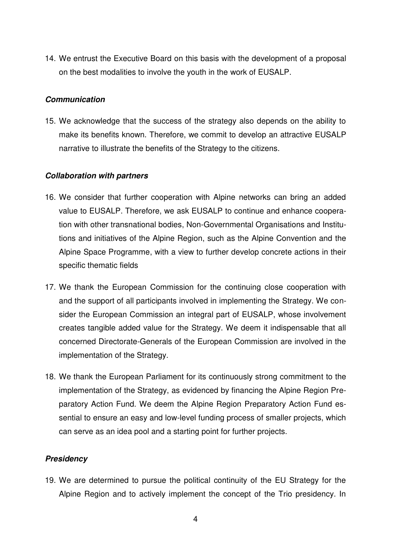14. We entrust the Executive Board on this basis with the development of a proposal on the best modalities to involve the youth in the work of EUSALP.

#### *Communication*

15. We acknowledge that the success of the strategy also depends on the ability to make its benefits known. Therefore, we commit to develop an attractive EUSALP narrative to illustrate the benefits of the Strategy to the citizens.

#### *Collaboration with partners*

- 16. We consider that further cooperation with Alpine networks can bring an added value to EUSALP. Therefore, we ask EUSALP to continue and enhance cooperation with other transnational bodies, Non-Governmental Organisations and Institutions and initiatives of the Alpine Region, such as the Alpine Convention and the Alpine Space Programme, with a view to further develop concrete actions in their specific thematic fields
- 17. We thank the European Commission for the continuing close cooperation with and the support of all participants involved in implementing the Strategy. We consider the European Commission an integral part of EUSALP, whose involvement creates tangible added value for the Strategy. We deem it indispensable that all concerned Directorate-Generals of the European Commission are involved in the implementation of the Strategy.
- 18. We thank the European Parliament for its continuously strong commitment to the implementation of the Strategy, as evidenced by financing the Alpine Region Preparatory Action Fund. We deem the Alpine Region Preparatory Action Fund essential to ensure an easy and low-level funding process of smaller projects, which can serve as an idea pool and a starting point for further projects.

#### *Presidency*

19. We are determined to pursue the political continuity of the EU Strategy for the Alpine Region and to actively implement the concept of the Trio presidency. In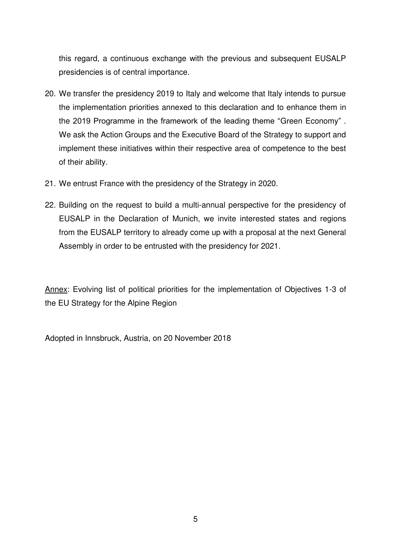this regard, a continuous exchange with the previous and subsequent EUSALP presidencies is of central importance.

- 20. We transfer the presidency 2019 to Italy and welcome that Italy intends to pursue the implementation priorities annexed to this declaration and to enhance them in the 2019 Programme in the framework of the leading theme "Green Economy" . We ask the Action Groups and the Executive Board of the Strategy to support and implement these initiatives within their respective area of competence to the best of their ability.
- 21. We entrust France with the presidency of the Strategy in 2020.
- 22. Building on the request to build a multi-annual perspective for the presidency of EUSALP in the Declaration of Munich, we invite interested states and regions from the EUSALP territory to already come up with a proposal at the next General Assembly in order to be entrusted with the presidency for 2021.

Annex: Evolving list of political priorities for the implementation of Objectives 1-3 of the EU Strategy for the Alpine Region

Adopted in Innsbruck, Austria, on 20 November 2018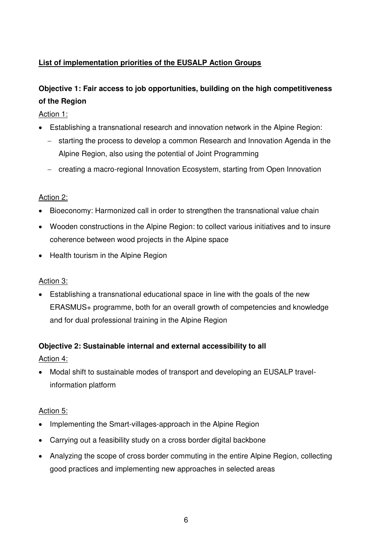## **List of implementation priorities of the EUSALP Action Groups**

# **Objective 1: Fair access to job opportunities, building on the high competitiveness of the Region**

Action 1:

- Establishing a transnational research and innovation network in the Alpine Region:
	- starting the process to develop a common Research and Innovation Agenda in the Alpine Region, also using the potential of Joint Programming
	- creating a macro-regional Innovation Ecosystem, starting from Open Innovation

### Action 2:

- Bioeconomy: Harmonized call in order to strengthen the transnational value chain
- Wooden constructions in the Alpine Region: to collect various initiatives and to insure coherence between wood projects in the Alpine space
- Health tourism in the Alpine Region

### Action 3:

 Establishing a transnational educational space in line with the goals of the new ERASMUS+ programme, both for an overall growth of competencies and knowledge and for dual professional training in the Alpine Region

### **Objective 2: Sustainable internal and external accessibility to all**

Action 4:

 Modal shift to sustainable modes of transport and developing an EUSALP travelinformation platform

### Action 5:

- Implementing the Smart-villages-approach in the Alpine Region
- Carrying out a feasibility study on a cross border digital backbone
- Analyzing the scope of cross border commuting in the entire Alpine Region, collecting good practices and implementing new approaches in selected areas